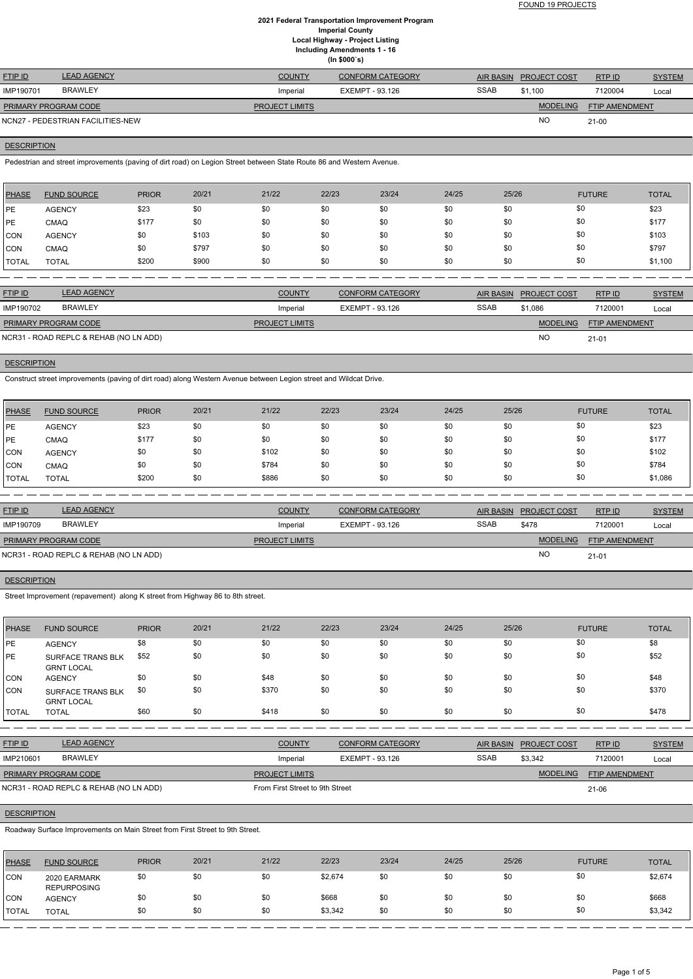FOUND 19 PROJECTS

# **2021 Federal Transportation Improvement Program Imperial County Local Highway - Project Listing Including Amendments 1 - 16 (In \$000`s)**

| <b>FTIP ID</b>              | <b>LEAD AGENCY</b>                | <b>COUNTY</b>         | <b>CONFORM CATEGORY</b> |             | AIR BASIN PROJECT COST | RTPID                 | <b>SYSTEM</b> |
|-----------------------------|-----------------------------------|-----------------------|-------------------------|-------------|------------------------|-----------------------|---------------|
| IMP190701                   | <b>BRAWLEY</b>                    | Imperial              | EXEMPT - 93.126         | <b>SSAB</b> | \$1.100                | 7120004               | Local         |
| <b>PRIMARY PROGRAM CODE</b> |                                   | <b>PROJECT LIMITS</b> |                         |             | <b>MODELING</b>        | <b>FTIP AMENDMENT</b> |               |
|                             | NCN27 - PEDESTRIAN FACILITIES-NEW |                       |                         |             | <b>NO</b>              | $21 - 00$             |               |

# **DESCRIPTION**

Pedestrian and street improvements (paving of dirt road) on Legion Street between State Route 86 and Western Avenue.

| <b>PHASE</b> | <b>FUND SOURCE</b> | <b>PRIOR</b> | 20/21 | 21/22 | 22/23 | 23/24 | 24/25 | 25/26 | <b>FUTURE</b> | <b>TOTAL</b> |
|--------------|--------------------|--------------|-------|-------|-------|-------|-------|-------|---------------|--------------|
| <b>IPE</b>   | <b>AGENCY</b>      | \$23         | \$0   | \$0   | \$0   | \$0   | \$0   | \$0   | \$0           | \$23         |
| <b>IPE</b>   | <b>CMAQ</b>        | \$177        | \$0   | \$0   | \$0   | \$0   | \$0   | \$0   | \$0           | \$177        |
| <b>CON</b>   | <b>AGENCY</b>      | \$0          | \$103 | \$0   | \$0   | \$0   | \$0   | \$0   | \$0           | \$103        |
| CON          | <b>CMAQ</b>        | \$0          | \$797 | \$0   | \$0   | \$0   | \$0   | \$0   | \$0           | \$797        |
| 'TOTAL       | <b>TOTAL</b>       | \$200        | \$900 | \$0   | \$0   | \$0   | \$0   | \$0   | \$0           | \$1,100      |

| <b>FTIP ID</b>              | <b>LEAD AGENCY</b>                     | <b>COUNTY</b>         | <b>CONFORM CATEGORY</b> | <b>AIR BASIN</b> | <b>PROJECT COST</b> | RTP ID                | <b>SYSTEM</b> |
|-----------------------------|----------------------------------------|-----------------------|-------------------------|------------------|---------------------|-----------------------|---------------|
| IMP190702                   | <b>BRAWLEY</b>                         | Imperial              | EXEMPT - 93.126         | <b>SSAB</b>      | \$1,086             | 7120001               | Local         |
| <b>PRIMARY PROGRAM CODE</b> |                                        | <b>PROJECT LIMITS</b> |                         |                  | <b>MODELING</b>     | <b>FTIP AMENDMENT</b> |               |
|                             | NCR31 - ROAD REPLC & REHAB (NO LN ADD) |                       |                         |                  | <b>NO</b>           | $21 - 01$             |               |

# **DESCRIPTION**

Construct street improvements (paving of dirt road) along Western Avenue between Legion street and Wildcat Drive.

| PHASE        | <b>FUND SOURCE</b> | <b>PRIOR</b> | 20/21 | 21/22 | 22/23 | 23/24 | 24/25 | 25/26 | <b>FUTURE</b> | <b>TOTAL</b> |
|--------------|--------------------|--------------|-------|-------|-------|-------|-------|-------|---------------|--------------|
| <b>IPE</b>   | <b>AGENCY</b>      | \$23         | \$0   | \$0   | \$0   | \$0   | \$0   | \$0   | \$0           | \$23         |
| <b>IPE</b>   | <b>CMAQ</b>        | \$177        | \$0   | \$0   | \$0   | \$0   | \$0   | \$0   | \$0           | \$177        |
| <b>CON</b>   | <b>AGENCY</b>      | \$0          | \$0   | \$102 | \$0   | \$0   | \$0   | \$0   | \$0           | \$102        |
| <b>CON</b>   | <b>CMAQ</b>        | \$0          | \$0   | \$784 | \$0   | \$0   | \$0   | \$0   | \$0           | \$784        |
| <b>TOTAL</b> | <b>TOTAL</b>       | \$200        | \$0   | \$886 | \$0   | \$0   | \$0   | \$0   | \$0           | \$1,086      |

| <b>FTIP ID</b>       | <b>LEAD AGENCY</b>                     | <b>COUNTY</b>         | <b>CONFORM CATEGORY</b> | <b>AIR BASIN</b> | <b>PROJECT COST</b> | RTPID                 | <b>SYSTEM</b> |
|----------------------|----------------------------------------|-----------------------|-------------------------|------------------|---------------------|-----------------------|---------------|
| IMP190709            | <b>BRAWLEY</b>                         | Imperial              | EXEMPT - 93.126         | <b>SSAB</b>      | \$478               | 7120001               | Local         |
| PRIMARY PROGRAM CODE |                                        | <b>PROJECT LIMITS</b> |                         |                  | <b>MODELING</b>     | <b>FTIP AMENDMENT</b> |               |
|                      | NCR31 - ROAD REPLC & REHAB (NO LN ADD) |                       |                         |                  | <b>NO</b>           | $21 - 01$             |               |

# **DESCRIPTION**

Street Improvement (repavement) along K street from Highway 86 to 8th street.

| <b>PHASE</b> | <b>FUND SOURCE</b>                            | <b>PRIOR</b> | 20/21 | 21/22 | 22/23 | 23/24 | 24/25 | 25/26 | <b>FUTURE</b> | <b>TOTAL</b> |
|--------------|-----------------------------------------------|--------------|-------|-------|-------|-------|-------|-------|---------------|--------------|
| PE           | <b>AGENCY</b>                                 | \$8          | \$0   | \$0   | \$0   | \$0   | \$0   | \$0   | \$0           | \$8          |
| <b>IPE</b>   | <b>SURFACE TRANS BLK</b><br><b>GRNT LOCAL</b> | \$52         | \$0   | \$0   | \$0   | \$0   | \$0   | \$0   | \$0           | \$52         |
| CON          | <b>AGENCY</b>                                 | \$0          | \$0   | \$48  | \$0   | \$0   | \$0   | \$0   | \$0           | \$48         |
| CON          | <b>SURFACE TRANS BLK</b><br><b>GRNT LOCAL</b> | \$0          | \$0   | \$370 | \$0   | \$0   | \$0   | \$0   | \$0           | \$370        |
| TOTAL        | <b>TOTAL</b>                                  | \$60         | \$0   | \$418 | \$0   | \$0   | \$0   | \$0   | \$0           | \$478        |

| <b>FTIP ID</b>       | <b>LEAD AGENCY</b>                     | <b>COUNTY</b>                   | <b>CONFORM CATEGORY</b> |             | AIR BASIN PROJECT COST | RTP ID                | <b>SYSTEM</b> |
|----------------------|----------------------------------------|---------------------------------|-------------------------|-------------|------------------------|-----------------------|---------------|
| IMP210601            | <b>BRAWLEY</b>                         | Imperial                        | EXEMPT - 93.126         | <b>SSAB</b> | \$3,342                | 7120001               | Local         |
| PRIMARY PROGRAM CODE |                                        | <b>PROJECT LIMITS</b>           |                         |             | <b>MODELING</b>        | <b>FTIP AMENDMENT</b> |               |
|                      | NCR31 - ROAD REPLC & REHAB (NO LN ADD) | From First Street to 9th Street |                         |             |                        | 21-06                 |               |

# **DESCRIPTION**

Roadway Surface Improvements on Main Street from First Street to 9th Street.

| <b>PHASE</b> | <b>FUND SOURCE</b>                 | <b>PRIOR</b> | 20/21 | 21/22 | 22/23   | 23/24 | 24/25 | 25/26 | <b>FUTURE</b> | <b>TOTAL</b> |
|--------------|------------------------------------|--------------|-------|-------|---------|-------|-------|-------|---------------|--------------|
| CON          | 2020 EARMARK<br><b>REPURPOSING</b> | \$0          | \$0   | \$0   | \$2,674 | \$0   | \$0   |       | \$0           | \$2,674      |
| <b>CON</b>   | <b>AGENCY</b>                      | \$0          | \$0   | \$0   | \$668   | \$0   | \$0   |       | \$0           | \$668        |
| <b>TOTAL</b> | <b>TOTAL</b>                       | \$0          | \$0   | \$0   | \$3,342 | \$0   | \$0   | \$0   | \$0           | \$3,342      |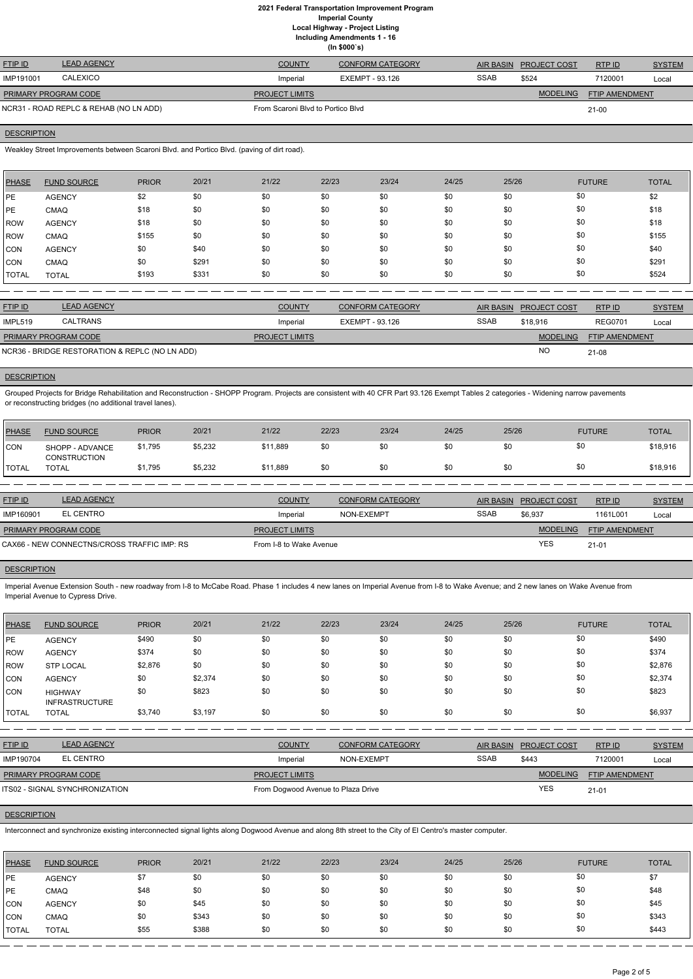# **2021 Federal Transportation Improvement Program Imperial County Local Highway - Project Listing Including Amendments 1 - 16**

|                                        | (ln \$000's)       |                                   |                         |             |                        |                       |               |  |  |  |  |
|----------------------------------------|--------------------|-----------------------------------|-------------------------|-------------|------------------------|-----------------------|---------------|--|--|--|--|
| <b>FTIP ID</b>                         | <b>LEAD AGENCY</b> | <b>COUNTY</b>                     | <b>CONFORM CATEGORY</b> |             | AIR BASIN PROJECT COST | RTP ID                | <b>SYSTEM</b> |  |  |  |  |
| IMP191001                              | <b>CALEXICO</b>    | Imperial                          | EXEMPT - 93.126         | <b>SSAB</b> | \$524                  | 7120001               | Local         |  |  |  |  |
| <b>PRIMARY PROGRAM CODE</b>            |                    | <b>PROJECT LIMITS</b>             |                         |             | <b>MODELING</b>        | <b>FTIP AMENDMENT</b> |               |  |  |  |  |
| NCR31 - ROAD REPLC & REHAB (NO LN ADD) |                    | From Scaroni Blvd to Portico Blvd |                         | 21-00       |                        |                       |               |  |  |  |  |

# **DESCRIPTION**

Weakley Street Improvements between Scaroni Blvd. and Portico Blvd. (paving of dirt road).

| <b>PHASE</b> | <b>FUND SOURCE</b> | <b>PRIOR</b> | 20/21 | 21/22 | 22/23 | 23/24 | 24/25 | 25/26 | <b>FUTURE</b> | <b>TOTAL</b> |
|--------------|--------------------|--------------|-------|-------|-------|-------|-------|-------|---------------|--------------|
| <b>IPE</b>   | <b>AGENCY</b>      | \$2          | \$0   | \$0   | \$0   | \$0   | \$0   | \$0   | \$0           | \$2          |
| <b>PE</b>    | <b>CMAQ</b>        | \$18         | \$0   | \$0   | \$0   | \$0   | \$0   | \$0   | \$0           | \$18         |
| ROW          | <b>AGENCY</b>      | \$18         | \$0   | \$0   | \$0   | \$0   | \$0   | \$0   | \$0           | \$18         |
| ROW          | <b>CMAQ</b>        | \$155        | \$0   | \$0   | \$0   | \$0   | \$0   | \$0   | \$0           | \$155        |
| <b>CON</b>   | <b>AGENCY</b>      | \$0          | \$40  | \$0   | \$0   | \$0   | \$0   | \$0   | \$0           | \$40         |
| <b>CON</b>   | <b>CMAQ</b>        | \$0          | \$291 | \$0   | \$0   | \$0   | \$0   | \$0   | \$0           | \$291        |
| <b>TOTAL</b> | <b>TOTAL</b>       | \$193        | \$331 | \$0   | \$0   | \$0   | \$0   | \$0   | \$0           | \$524        |

| <b>FTIP ID</b>              | <b>LEAD AGENCY</b>                             | <b>COUNTY</b>         | <b>CONFORM CATEGORY</b> |             | <b>AIR BASIN PROJECT COST</b> | RTP ID                | <b>SYSTEM</b> |
|-----------------------------|------------------------------------------------|-----------------------|-------------------------|-------------|-------------------------------|-----------------------|---------------|
| IMPL519                     | CALTRANS                                       | Imperial              | EXEMPT - 93.126         | <b>SSAB</b> | \$18,916                      | <b>REG0701</b>        | Local         |
| <b>PRIMARY PROGRAM CODE</b> |                                                | <b>PROJECT LIMITS</b> |                         |             | <b>MODELING</b>               | <b>FTIP AMENDMENT</b> |               |
|                             | NCR36 - BRIDGE RESTORATION & REPLC (NO LN ADD) |                       |                         |             | <b>NC</b>                     | 21-08                 |               |

### **DESCRIPTION**

Grouped Projects for Bridge Rehabilitation and Reconstruction - SHOPP Program. Projects are consistent with 40 CFR Part 93.126 Exempt Tables 2 categories - Widening narrow pavements or reconstructing bridges (no additional travel lanes).

| <b>PHASE</b> | <b>FUND SOURCE</b>                     | <b>PRIOR</b> | 20/21   | 21/22    | 22/23 | 23/24 | 24/25 | 25/26 | <b>FUTURE</b> | <b>TOTAL</b> |
|--------------|----------------------------------------|--------------|---------|----------|-------|-------|-------|-------|---------------|--------------|
| <b>CON</b>   | SHOPP - ADVANCE<br><b>CONSTRUCTION</b> | \$1,795      | \$5,232 | \$11,889 | \$0   | \$0   | \$0   | \$0   | \$0           | \$18,916     |
| <b>TOTAL</b> | <b>TOTAL</b>                           | \$1,795      | \$5,232 | \$11,889 | \$0   | \$0   | \$0   | \$0   | \$0           | \$18,916     |

| <b>LEAD AGENCY</b> | <b>COUNTY</b>                                                              | CONFORM CATEGORY |                         |                 | RTPID                  | <b>SYSTEM</b> |
|--------------------|----------------------------------------------------------------------------|------------------|-------------------------|-----------------|------------------------|---------------|
| EL CENTRO          | Imperial                                                                   | NON-EXEMPT       | <b>SSAB</b>             | \$6,937         | 1161L001               | Local         |
|                    | <b>PROJECT LIMITS</b>                                                      |                  |                         | <b>MODELING</b> | <b>FTIP AMENDMENT</b>  |               |
|                    |                                                                            |                  |                         | <b>YES</b>      | $21 - 01$              |               |
|                    | <b>PRIMARY PROGRAM CODE</b><br>CAX66 - NEW CONNECTNS/CROSS TRAFFIC IMP: RS |                  | From I-8 to Wake Avenue |                 | AIR BASIN PROJECT COST |               |

# **DESCRIPTION**

Imperial Avenue Extension South - new roadway from I-8 to McCabe Road. Phase 1 includes 4 new lanes on Imperial Avenue from I-8 to Wake Avenue; and 2 new lanes on Wake Avenue from Imperial Avenue to Cypress Drive.

| PHASE | <b>FUND SOURCE</b>                      | <b>PRIOR</b> | 20/21   | 21/22 | 22/23 | 23/24 | 24/25 | 25/26 | <b>FUTURE</b> | <b>TOTAL</b> |
|-------|-----------------------------------------|--------------|---------|-------|-------|-------|-------|-------|---------------|--------------|
| IPE.  | <b>AGENCY</b>                           | \$490        | \$0     | \$0   | \$0   | \$0   | \$0   | \$0   | \$0           | \$490        |
| ROW   | <b>AGENCY</b>                           | \$374        | \$0     | \$0   | \$0   | \$0   | \$0   | \$0   | \$0           | \$374        |
| ROW   | <b>STP LOCAL</b>                        | \$2,876      | \$0     | \$0   | \$0   | \$0   | \$0   | \$0   | \$0           | \$2,876      |
| CON   | <b>AGENCY</b>                           | \$0          | \$2,374 | \$0   | \$0   | \$0   | \$0   | \$0   | \$0           | \$2,374      |
| CON   | <b>HIGHWAY</b><br><b>INFRASTRUCTURE</b> | \$0          | \$823   | \$0   | \$0   | \$0   | \$0   | \$0   | \$0           | \$823        |
| TOTAL | <b>TOTAL</b>                            | \$3,740      | \$3,197 | \$0   | \$0   | \$0   | \$0   | \$0   | \$0           | \$6,937      |

| <b>FTIP ID</b>       | LEAD AGENCY                           | <b>COUNTY</b><br><b>CONFORM CATEGORY</b> |            | <b>AIR BASIN</b> | <b>PROJECT COST</b> | RTPID                 | <b>SYSTEM</b> |
|----------------------|---------------------------------------|------------------------------------------|------------|------------------|---------------------|-----------------------|---------------|
| IMP190704            | EL CENTRO                             | Imperial                                 | NON-EXEMPT | <b>SSAB</b>      | \$443               | 7120001               | Local         |
| PRIMARY PROGRAM CODE |                                       | <b>PROJECT LIMITS</b>                    |            |                  | <b>MODELING</b>     | <b>FTIP AMENDMENT</b> |               |
|                      | <b>ITS02 - SIGNAL SYNCHRONIZATION</b> | From Dogwood Avenue to Plaza Drive       |            |                  | YES                 | $21 - 01$             |               |

# **DESCRIPTION**

Interconnect and synchronize existing interconnected signal lights along Dogwood Avenue and along 8th street to the City of El Centro's master computer.

| PHASE      | <b>FUND SOURCE</b> | <b>PRIOR</b> | 20/21 | 21/22 | 22/23 | 23/24 | 24/25 | 25/26 | <b>FUTURE</b> | <b>TOTAL</b> |
|------------|--------------------|--------------|-------|-------|-------|-------|-------|-------|---------------|--------------|
| PE         | <b>AGENCY</b>      | \$7          | \$0   | \$0   | \$0   | \$0   | \$0   | \$0   | \$0           | \$7          |
| PE         | <b>CMAQ</b>        | \$48         | \$0   | \$0   | \$0   | \$0   | \$0   | \$0   | \$0           | \$48         |
| CON        | <b>AGENCY</b>      | \$0          | \$45  | \$0   | \$0   | \$0   | \$0   | \$0   | \$0           | \$45         |
| <b>CON</b> | <b>CMAQ</b>        | \$0          | \$343 | \$0   | \$0   | \$0   | \$0   | \$0   | \$0           | \$343        |
| TOTAL      | <b>TOTAL</b>       | \$55         | \$388 | \$0   | \$0   | \$0   | \$0   | \$0   | \$0           | \$443        |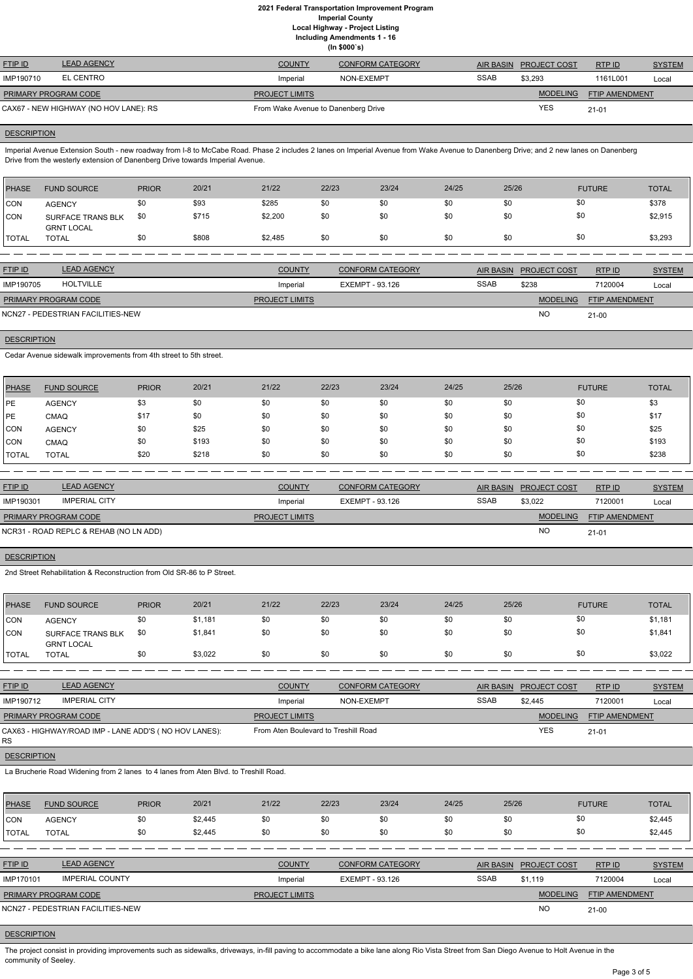# **2021 Federal Transportation Improvement Program Imperial County Local Highway - Project Listing Including Amendments 1 - 16 (In \$000`s)**

| <b>FTIP ID</b>              | <b>LEAD AGENCY</b>                    | <b>COUNTY</b>                       | <b>CONFORM CATEGORY</b> |             | AIR BASIN PROJECT COST | RTPID                 | <b>SYSTEM</b> |
|-----------------------------|---------------------------------------|-------------------------------------|-------------------------|-------------|------------------------|-----------------------|---------------|
| IMP190710                   | EL CENTRO                             | Imperial                            | NON-EXEMPT              | <b>SSAB</b> | \$3,293                | 1161L001              | Local         |
| <b>PRIMARY PROGRAM CODE</b> |                                       | <b>PROJECT LIMITS</b>               |                         |             | <b>MODELING</b>        | <b>FTIP AMENDMENT</b> |               |
|                             | CAX67 - NEW HIGHWAY (NO HOV LANE): RS | From Wake Avenue to Danenberg Drive |                         |             | YES                    | $21 - 01$             |               |

# **DESCRIPTION**

**DESCRIPTION** 

Imperial Avenue Extension South - new roadway from I-8 to McCabe Road. Phase 2 includes 2 lanes on Imperial Avenue from Wake Avenue to Danenberg Drive; and 2 new lanes on Danenberg Drive from the westerly extension of Danenberg Drive towards Imperial Avenue.

| <b>PHASE</b> | <b>FUND SOURCE</b>                            | <b>PRIOR</b> | 20/21 | 21/22   | 22/23 | 23/24 | 24/25 | 25/26 | <b>FUTURE</b> | <b>TOTAL</b> |
|--------------|-----------------------------------------------|--------------|-------|---------|-------|-------|-------|-------|---------------|--------------|
| CON          | <b>AGENCY</b>                                 | \$0          | \$93  | \$285   | \$0   | \$0   | \$0   | \$0   | \$0           | \$378        |
| CON          | <b>SURFACE TRANS BLK</b><br><b>GRNT LOCAL</b> | \$0          | \$715 | \$2,200 | \$0   | \$0   | \$0   | \$0   | \$0           | \$2,915      |
| 'TOTAL       | <b>TOTAL</b>                                  | \$0          | \$808 | \$2,485 | \$0   | \$0   | \$0   | \$0   | \$0           | \$3,293      |
|              |                                               |              |       |         |       |       |       |       |               |              |

| <b>FTIP ID</b>              | <b>LEAD AGENCY</b>                | <b>COUNTY</b>         | <b>CONFORM CATEGORY</b> |             | AIR BASIN PROJECT COST | RTPID                 | <b>SYSTEM</b> |
|-----------------------------|-----------------------------------|-----------------------|-------------------------|-------------|------------------------|-----------------------|---------------|
| IMP190705                   | HOLTVILLE                         | Imperial              | EXEMPT - 93.126         | <b>SSAB</b> | \$238                  | 7120004               | Local         |
| <b>PRIMARY PROGRAM CODE</b> |                                   | <b>PROJECT LIMITS</b> |                         |             | <b>MODELING</b>        | <b>FTIP AMENDMENT</b> |               |
|                             | NCN27 - PEDESTRIAN FACILITIES-NEW |                       |                         |             | <b>NO</b>              | $21 - 00$             |               |

Cedar Avenue sidewalk improvements from 4th street to 5th street.

| <b>PHASE</b> | <b>FUND SOURCE</b> | <b>PRIOR</b> | 20/21 | 21/22 | 22/23 | 23/24 | 24/25 | 25/26 | <b>FUTURE</b> | <b>TOTAL</b> |
|--------------|--------------------|--------------|-------|-------|-------|-------|-------|-------|---------------|--------------|
| <b>IPE</b>   | <b>AGENCY</b>      | \$3          | \$0   | \$0   | \$0   | \$0   | \$0   | \$0   | \$0           | \$3          |
| <b>IPE</b>   | <b>CMAQ</b>        | \$17         | \$0   | \$0   | \$0   | \$0   | \$0   | \$0   | \$0           | \$17         |
| CON          | <b>AGENCY</b>      | \$0          | \$25  | \$0   | \$0   | \$0   | \$0   | \$0   | \$0           | \$25         |
| CON          | <b>CMAQ</b>        | \$0          | \$193 | \$0   | \$0   | \$0   | \$0   | \$0   | \$0           | \$193        |
| <b>TOTAL</b> | TOTAL              | \$20         | \$218 | \$0   | \$0   | \$0   | \$0   | \$0   | \$0           | \$238        |

The project consist in providing improvements such as sidewalks, driveways, in-fill paving to accommodate a bike lane along Rio Vista Street from San Diego Avenue to Holt Avenue in the community of Seeley.

| <b>FTIP ID</b>              | <b>LEAD AGENCY</b>                     | <b>COUNTY</b>         | <b>CONFORM CATEGORY</b> | <b>AIR BASIN</b> | <b>PROJECT COST</b> | RTP ID                | <b>SYSTEM</b> |
|-----------------------------|----------------------------------------|-----------------------|-------------------------|------------------|---------------------|-----------------------|---------------|
| IMP190301                   | <b>IMPERIAL CITY</b>                   | Imperial              | EXEMPT - 93.126         | <b>SSAB</b>      | \$3,022             | 7120001               | Local         |
| <b>PRIMARY PROGRAM CODE</b> |                                        | <b>PROJECT LIMITS</b> |                         |                  | <b>MODELING</b>     | <b>FTIP AMENDMENT</b> |               |
|                             | NCR31 - ROAD REPLC & REHAB (NO LN ADD) |                       |                         |                  | NO                  | $21 - 01$             |               |

#### **DESCRIPTION**

2nd Street Rehabilitation & Reconstruction from Old SR-86 to P Street.

| PHASE          | <b>FUND SOURCE</b>                     | <b>PRIOR</b> | 20/21   | 21/22 | 22/23 | 23/24 | 24/25 | 25/26 | <b>FUTURE</b> | <b>TOTAL</b> |
|----------------|----------------------------------------|--------------|---------|-------|-------|-------|-------|-------|---------------|--------------|
| <b>CON</b>     | <b>AGENCY</b>                          | \$0          | \$1,181 | \$0   | \$0   | \$0   | \$0   | \$0   | \$0           | \$1,181      |
| <b>CON</b>     | SURFACE TRANS BLK<br><b>GRNT LOCAL</b> | \$0          | \$1,841 | \$0   | \$0   | \$0   | \$0   |       | \$0           | \$1,841      |
| <b>I</b> TOTAL | TOTAL                                  | \$0          | \$3,022 | \$0   | \$0   | \$0   | \$0   | \$0   | \$0           | \$3,022      |

| <b>FTIP ID</b>                                        | <b>LEAD AGENCY</b> | <b>COUNTY</b>                        | <b>CONFORM CATEGORY</b> |             | AIR BASIN PROJECT COST | RTPID                 | <b>SYSTEM</b> |
|-------------------------------------------------------|--------------------|--------------------------------------|-------------------------|-------------|------------------------|-----------------------|---------------|
| IMP190712                                             | IMPERIAL CITY      | Imperial                             | NON-EXEMPT              | <b>SSAB</b> | \$2.445                | 7120001               | Local         |
| <b>PRIMARY PROGRAM CODE</b>                           |                    | <b>PROJECT LIMITS</b>                |                         |             | <b>MODELING</b>        | <b>FTIP AMENDMENT</b> |               |
| CAX63 - HIGHWAY/ROAD IMP - LANE ADD'S (NO HOV LANES): |                    | From Aten Boulevard to Treshill Road |                         |             | YES                    | $21 - 01$             |               |

RS

# **DESCRIPTION**

La Brucherie Road Widening from 2 lanes to 4 lanes from Aten Blvd. to Treshill Road.

| <b>PHASE</b> | <b>FUND SOURCE</b> | <b>PRIOR</b> | 20/21   | 21/22 | 22/23 | 23/24 | 24/25 | 25/26 | <b>FUTURE</b> | <b>TOTAL</b> |
|--------------|--------------------|--------------|---------|-------|-------|-------|-------|-------|---------------|--------------|
| <b>CON</b>   | <b>AGENCY</b>      | \$0          | \$2,445 | \$0   | \$0   |       |       |       |               | \$2,445      |
| <b>TOTAL</b> | <b>TOTAL</b>       | \$0          | \$2,445 | \$0   | \$0   | \$0   | \$0   |       |               | \$2,445      |

| <b>FTIP ID</b>              | <b>LEAD AGENCY</b>                | <b>COUNTY</b>         | CONFORM CATEGORY | <b>AIR BASIN</b> | <b>PROJECT COST</b> | RTP ID                | <b>SYSTEM</b> |
|-----------------------------|-----------------------------------|-----------------------|------------------|------------------|---------------------|-----------------------|---------------|
| IMP170101                   | <b>IMPERIAL COUNTY</b>            | Imperial              | EXEMPT - 93.126  | <b>SSAB</b>      | \$1.119             | 7120004               | Local         |
| <b>PRIMARY PROGRAM CODE</b> |                                   | <b>PROJECT LIMITS</b> |                  |                  | <b>MODELING</b>     | <b>FTIP AMENDMENT</b> |               |
|                             | NCN27 - PEDESTRIAN FACILITIES-NEW |                       |                  |                  | <b>NC</b>           | $21 - 00$             |               |

# **DESCRIPTION**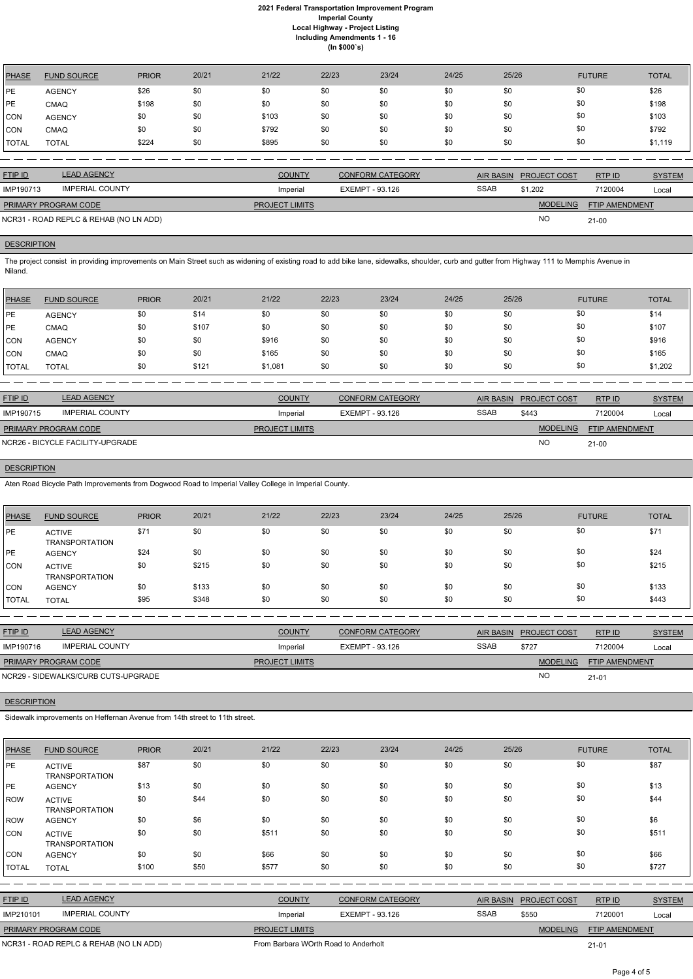# **2021 Federal Transportation Improvement Program Imperial County Local Highway - Project Listing Including Amendments 1 - 16 (In \$000`s)**

| PHASE        | <b>FUND SOURCE</b> | <b>PRIOR</b> | 20/21 | 21/22 | 22/23 | 23/24 | 24/25 | 25/26 | <b>FUTURE</b> | <b>TOTAL</b> |
|--------------|--------------------|--------------|-------|-------|-------|-------|-------|-------|---------------|--------------|
| PE           | <b>AGENCY</b>      | \$26         | \$0   | \$0   | \$0   | \$0   | \$0   | \$0   | \$0           | \$26         |
| PE           | <b>CMAQ</b>        | \$198        | \$0   | \$0   | \$0   | \$0   | \$0   | \$0   | \$0           | \$198        |
| <b>ICON</b>  | <b>AGENCY</b>      | \$0          | \$0   | \$103 | \$0   | \$0   | \$0   | \$0   | \$0           | \$103        |
| <b>ICON</b>  | <b>CMAQ</b>        | \$0          | \$0   | \$792 | \$0   | \$0   | \$0   | \$0   | \$0           | \$792        |
| <b>TOTAL</b> | <b>TOTAL</b>       | \$224        | \$0   | \$895 | \$0   | \$0   | \$0   | \$0   | \$0           | \$1,119      |

| <b>FTIP ID</b>                         | <b>LEAD AGENCY</b>     | <b>COUNTY</b>         | <b>CONFORM CATEGORY</b> |             | AIR BASIN PROJECT COST | RTP ID                | <b>SYSTEM</b> |
|----------------------------------------|------------------------|-----------------------|-------------------------|-------------|------------------------|-----------------------|---------------|
| IMP190713                              | <b>IMPERIAL COUNTY</b> | Imperial              | EXEMPT - 93.126         | <b>SSAB</b> | \$1.202                | 7120004               | Local         |
| <b>PRIMARY PROGRAM CODE</b>            |                        | <b>PROJECT LIMITS</b> |                         |             | <b>MODELING</b>        | <b>FTIP AMENDMENT</b> |               |
| NCR31 - ROAD REPLC & REHAB (NO LN ADD) |                        |                       |                         |             | <b>NC</b>              | $21 - 00$             |               |

# **DESCRIPTION**

The project consist in providing improvements on Main Street such as widening of existing road to add bike lane, sidewalks, shoulder, curb and gutter from Highway 111 to Memphis Avenue in Niland.

| <b>PHASE</b> | <b>FUND SOURCE</b> | <b>PRIOR</b> | 20/21 | 21/22   | 22/23 | 23/24 | 24/25 | 25/26 | <b>FUTURE</b> | <b>TOTAL</b> |
|--------------|--------------------|--------------|-------|---------|-------|-------|-------|-------|---------------|--------------|
| <b>IPE</b>   | <b>AGENCY</b>      | \$0          | \$14  | \$0     | \$0   | \$0   | \$0   | \$0   | \$0           | \$14         |
| <b>IPE</b>   | <b>CMAQ</b>        | \$0          | \$107 | \$0     | \$0   | \$0   | \$0   | \$0   | \$0           | \$107        |
| CON          | <b>AGENCY</b>      | \$0          | \$0   | \$916   | \$0   | \$0   | \$0   | \$0   | \$0           | \$916        |
| CON          | <b>CMAQ</b>        | \$0          | \$0   | \$165   | \$0   | \$0   | \$0   | \$0   | \$0           | \$165        |
| <b>TOTAL</b> | <b>TOTAL</b>       | \$0          | \$121 | \$1,081 | \$0   | \$0   | \$0   | \$0   | \$0           | \$1,202      |

| <b>FTIP ID</b>              | <b>LEAD AGENCY</b>               | <b>COUNTY</b>         | <b>CONFORM CATEGORY</b> |             | AIR BASIN PROJECT COST | <b>RTPID</b>          | <b>SYSTEM</b> |
|-----------------------------|----------------------------------|-----------------------|-------------------------|-------------|------------------------|-----------------------|---------------|
| IMP190715                   | <b>IMPERIAL COUNTY</b>           | Imperial              | EXEMPT - 93.126         | <b>SSAB</b> | \$443                  | 7120004               | Local         |
| <b>PRIMARY PROGRAM CODE</b> |                                  | <b>PROJECT LIMITS</b> |                         |             | <b>MODELING</b>        | <b>FTIP AMENDMENT</b> |               |
|                             | NCR26 - BICYCLE FACILITY-UPGRADE |                       |                         |             | <b>NO</b>              | $21 - 00$             |               |

# **DESCRIPTION**

Aten Road Bicycle Path Improvements from Dogwood Road to Imperial Valley College in Imperial County.

| <b>PHASE</b> | <b>FUND SOURCE</b>                     | <b>PRIOR</b> | 20/21 | 21/22 | 22/23 | 23/24 | 24/25 | 25/26 | <b>FUTURE</b> | <b>TOTAL</b> |
|--------------|----------------------------------------|--------------|-------|-------|-------|-------|-------|-------|---------------|--------------|
| <b>IPE</b>   | <b>ACTIVE</b><br><b>TRANSPORTATION</b> | \$71         | \$0   | \$0   | \$0   | \$0   | \$0   | \$0   | \$0           | \$71         |
| <b>IPE</b>   | <b>AGENCY</b>                          | \$24         | \$0   | \$0   | \$0   | \$0   | \$0   | \$0   | \$0           | \$24         |
| <b>CON</b>   | <b>ACTIVE</b><br><b>TRANSPORTATION</b> | \$0          | \$215 | \$0   | \$0   | \$0   | \$0   | \$0   | \$0           | \$215        |
| <b>CON</b>   | <b>AGENCY</b>                          | \$0          | \$133 | \$0   | \$0   | \$0   | \$0   | \$0   | \$0           | \$133        |
| 'TOTAL       | <b>TOTAL</b>                           | \$95         | \$348 | \$0   | \$0   | \$0   | \$0   | \$0   | \$0           | \$443        |

| <b>FTIP ID</b>              | <b>LEAD AGENCY</b>                  | <b>COUNTY</b>         | <b>CONFORM CATEGORY</b> | AIR BASIN   | <b>PROJECT COST</b> | RTP ID                | <b>SYSTEM</b> |
|-----------------------------|-------------------------------------|-----------------------|-------------------------|-------------|---------------------|-----------------------|---------------|
| IMP190716                   | <b>IMPERIAL COUNTY</b>              | Imperial              | EXEMPT - 93.126         | <b>SSAB</b> | \$727               | 7120004               | Local         |
| <b>PRIMARY PROGRAM CODE</b> |                                     | <b>PROJECT LIMITS</b> |                         |             | <b>MODELING</b>     | <b>FTIP AMENDMENT</b> |               |
|                             | NCR29 - SIDEWALKS/CURB CUTS-UPGRADE |                       |                         |             | <b>NO</b>           | $21 - 01$             |               |

# **DESCRIPTION**

Sidewalk improvements on Heffernan Avenue from 14th street to 11th street.

| <b>PHASE</b>                           | <b>FUND SOURCE</b>                     | <b>PRIOR</b> | 20/21 | 21/22         | 22/23                                | 23/24                   | 24/25 | 25/26            |                 | <b>FUTURE</b>  | <b>TOTAL</b>  |
|----------------------------------------|----------------------------------------|--------------|-------|---------------|--------------------------------------|-------------------------|-------|------------------|-----------------|----------------|---------------|
| PE                                     | <b>ACTIVE</b><br><b>TRANSPORTATION</b> | \$87         | \$0   | \$0           | \$0                                  | \$0                     | \$0   | \$0              | \$0             |                | \$87          |
| PE                                     | <b>AGENCY</b>                          | \$13         | \$0   | \$0           | \$0                                  | \$0                     | \$0   | \$0              | \$0             |                | \$13          |
| <b>ROW</b>                             | <b>ACTIVE</b><br><b>TRANSPORTATION</b> | \$0          | \$44  | \$0           | \$0                                  | \$0                     | \$0   | \$0              | \$0             |                | \$44          |
| ROW                                    | <b>AGENCY</b>                          | \$0          | \$6   | \$0           | \$0                                  | \$0                     | \$0   | \$0              | \$0             |                | \$6           |
| <b>CON</b>                             | <b>ACTIVE</b><br><b>TRANSPORTATION</b> | \$0          | \$0   | \$511         | \$0                                  | \$0                     | \$0   | \$0              | \$0             |                | \$511         |
| <b>CON</b>                             | <b>AGENCY</b>                          | \$0          | \$0   | \$66          | \$0                                  | \$0                     | \$0   | \$0              | \$0             |                | \$66          |
| <b>TOTAL</b>                           | <b>TOTAL</b>                           | \$100        | \$50  | \$577         | \$0                                  | \$0                     | \$0   | \$0              | \$0             |                | \$727         |
|                                        |                                        |              |       |               |                                      |                         |       |                  |                 |                |               |
| FTIP ID                                | <b>LEAD AGENCY</b>                     |              |       | <b>COUNTY</b> |                                      | <b>CONFORM CATEGORY</b> |       | <b>AIR BASIN</b> | PROJECT COST    | RTP ID         | <b>SYSTEM</b> |
| IMP210101                              | <b>IMPERIAL COUNTY</b>                 |              |       | Imperial      |                                      | EXEMPT - 93.126         |       | <b>SSAB</b>      | \$550           | 7120001        | Local         |
|                                        | PRIMARY PROGRAM CODE                   |              |       |               | PROJECT LIMITS                       |                         |       |                  | <b>MODELING</b> | FTIP AMENDMENT |               |
| NCR31 - ROAD REPLC & REHAB (NO LN ADD) |                                        |              |       |               | From Barbara WOrth Road to Anderholt |                         |       |                  | $21 - 01$       |                |               |